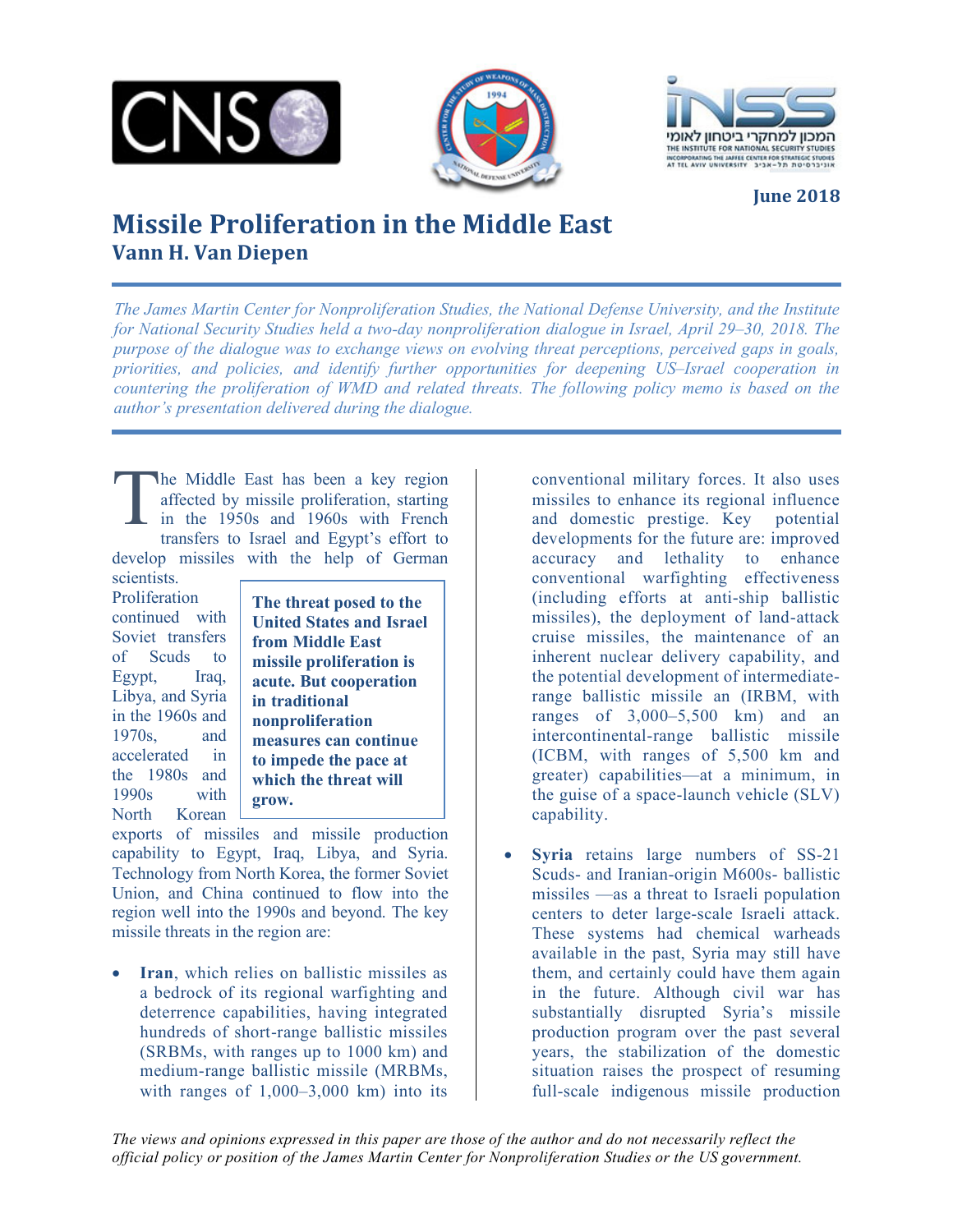





**June 2018**

# **Missile Proliferation in the Middle East Vann H. Van Diepen**

*The James Martin Center for Nonproliferation Studies, the National Defense University, and the Institute for National Security Studies held a two-day nonproliferation dialogue in Israel, April 29–30, 2018. The purpose of the dialogue was to exchange views on evolving threat perceptions, perceived gaps in goals, priorities, and policies, and identify further opportunities for deepening US–Israel cooperation in countering the proliferation of WMD and related threats. The following policy memo is based on the author's presentation delivered during the dialogue.*

he Middle East has been a key region affected by missile proliferation, starting in the 1950s and 1960s with French transfers to Israel and Egypt's effort to develop missiles with the help of German T

scientists. **Proliferation** continued with Soviet transfers of Scuds to Egypt, Iraq, Libya, and Syria in the 1960s and 1970s, and accelerated in the 1980s and 1990s with North Korean

**The threat posed to the United States and Israel from Middle East missile proliferation is acute. But cooperation in traditional nonproliferation measures can continue to impede the pace at which the threat will grow.**

exports of missiles and missile production capability to Egypt, Iraq, Libya, and Syria. Technology from North Korea, the former Soviet Union, and China continued to flow into the region well into the 1990s and beyond. The key missile threats in the region are:

**Iran**, which relies on ballistic missiles as a bedrock of its regional warfighting and deterrence capabilities, having integrated hundreds of short-range ballistic missiles (SRBMs, with ranges up to 1000 km) and medium-range ballistic missile (MRBMs, with ranges of  $1,000-3,000$  km) into its

conventional military forces. It also uses missiles to enhance its regional influence and domestic prestige. Key potential developments for the future are: improved accuracy and lethality to enhance conventional warfighting effectiveness (including efforts at anti-ship ballistic missiles), the deployment of land-attack cruise missiles, the maintenance of an inherent nuclear delivery capability, and the potential development of intermediaterange ballistic missile an (IRBM, with ranges of 3,000–5,500 km) and an intercontinental-range ballistic missile (ICBM, with ranges of 5,500 km and greater) capabilities—at a minimum, in the guise of a space-launch vehicle (SLV) capability.

• **Syria** retains large numbers of SS-21 Scuds- and Iranian-origin M600s- ballistic missiles —as a threat to Israeli population centers to deter large-scale Israeli attack. These systems had chemical warheads available in the past, Syria may still have them, and certainly could have them again in the future. Although civil war has substantially disrupted Syria's missile production program over the past several years, the stabilization of the domestic situation raises the prospect of resuming full-scale indigenous missile production

*The views and opinions expressed in this paper are those of the author and do not necessarily reflect the official policy or position of the James Martin Center for Nonproliferation Studies or the US government.*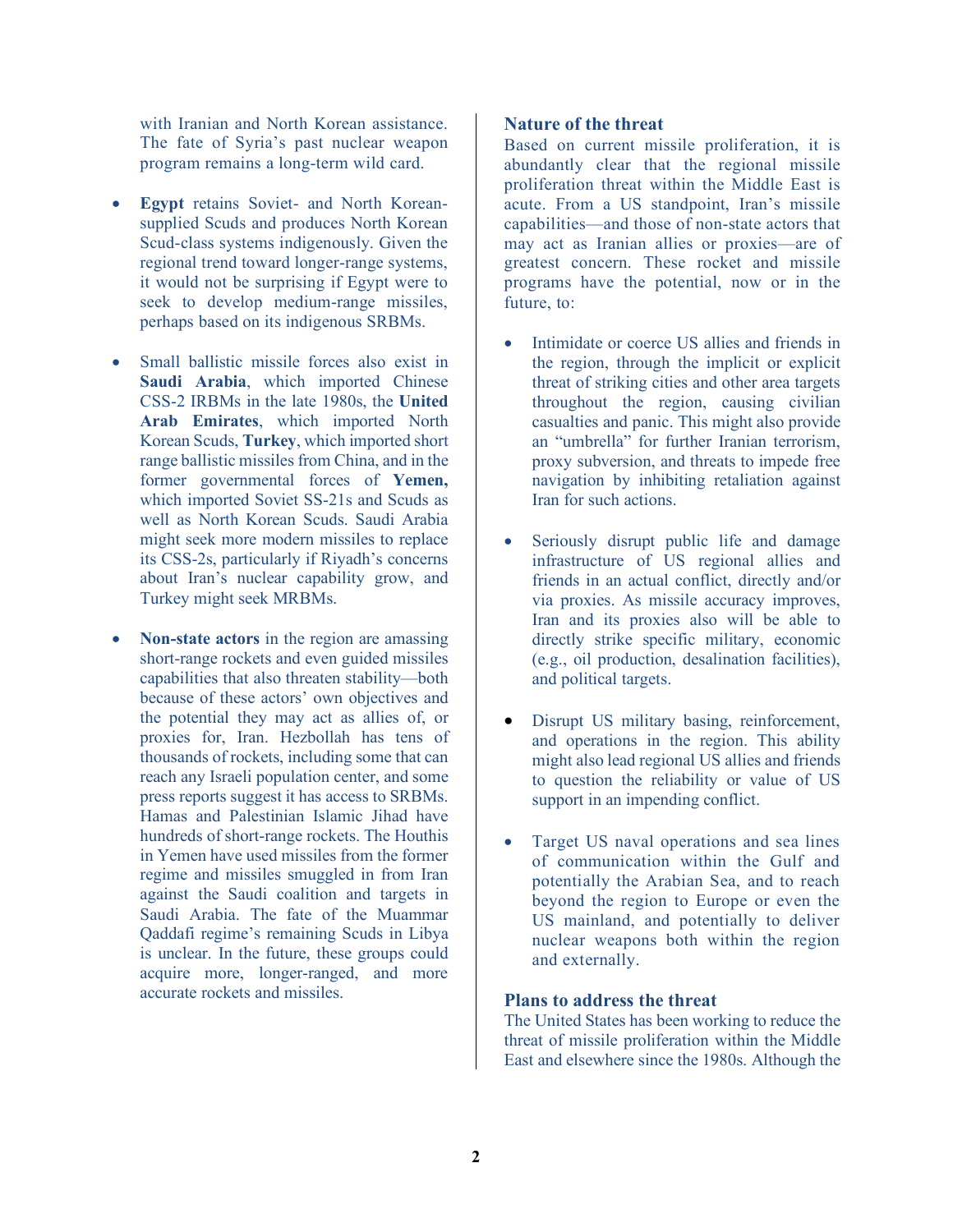with Iranian and North Korean assistance. The fate of Syria's past nuclear weapon program remains a long-term wild card.

- **Egypt** retains Soviet- and North Koreansupplied Scuds and produces North Korean Scud-class systems indigenously. Given the regional trend toward longer-range systems, it would not be surprising if Egypt were to seek to develop medium-range missiles, perhaps based on its indigenous SRBMs.
- Small ballistic missile forces also exist in **Saudi Arabia**, which imported Chinese CSS-2 IRBMs in the late 1980s, the **United Arab Emirates**, which imported North Korean Scuds, **Turkey**, which imported short range ballistic missiles from China, and in the former governmental forces of **Yemen,** which imported Soviet SS-21s and Scuds as well as North Korean Scuds. Saudi Arabia might seek more modern missiles to replace its CSS-2s, particularly if Riyadh's concerns about Iran's nuclear capability grow, and Turkey might seek MRBMs.
- **Non-state actors** in the region are amassing short-range rockets and even guided missiles capabilities that also threaten stability—both because of these actors' own objectives and the potential they may act as allies of, or proxies for, Iran. Hezbollah has tens of thousands of rockets, including some that can reach any Israeli population center, and some press reports suggest it has access to SRBMs. Hamas and Palestinian Islamic Jihad have hundreds of short-range rockets. The Houthis in Yemen have used missiles from the former regime and missiles smuggled in from Iran against the Saudi coalition and targets in Saudi Arabia. The fate of the Muammar Qaddafi regime's remaining Scuds in Libya is unclear. In the future, these groups could acquire more, longer-ranged, and more accurate rockets and missiles.

# **Nature of the threat**

Based on current missile proliferation, it is abundantly clear that the regional missile proliferation threat within the Middle East is acute. From a US standpoint, Iran's missile capabilities—and those of non-state actors that may act as Iranian allies or proxies—are of greatest concern. These rocket and missile programs have the potential, now or in the future, to:

- Intimidate or coerce US allies and friends in the region, through the implicit or explicit threat of striking cities and other area targets throughout the region, causing civilian casualties and panic. This might also provide an "umbrella" for further Iranian terrorism, proxy subversion, and threats to impede free navigation by inhibiting retaliation against Iran for such actions.
- Seriously disrupt public life and damage infrastructure of US regional allies and friends in an actual conflict, directly and/or via proxies. As missile accuracy improves, Iran and its proxies also will be able to directly strike specific military, economic (e.g., oil production, desalination facilities), and political targets.
- Disrupt US military basing, reinforcement, and operations in the region. This ability might also lead regional US allies and friends to question the reliability or value of US support in an impending conflict.
- Target US naval operations and sea lines of communication within the Gulf and potentially the Arabian Sea, and to reach beyond the region to Europe or even the US mainland, and potentially to deliver nuclear weapons both within the region and externally.

# **Plans to address the threat**

The United States has been working to reduce the threat of missile proliferation within the Middle East and elsewhere since the 1980s. Although the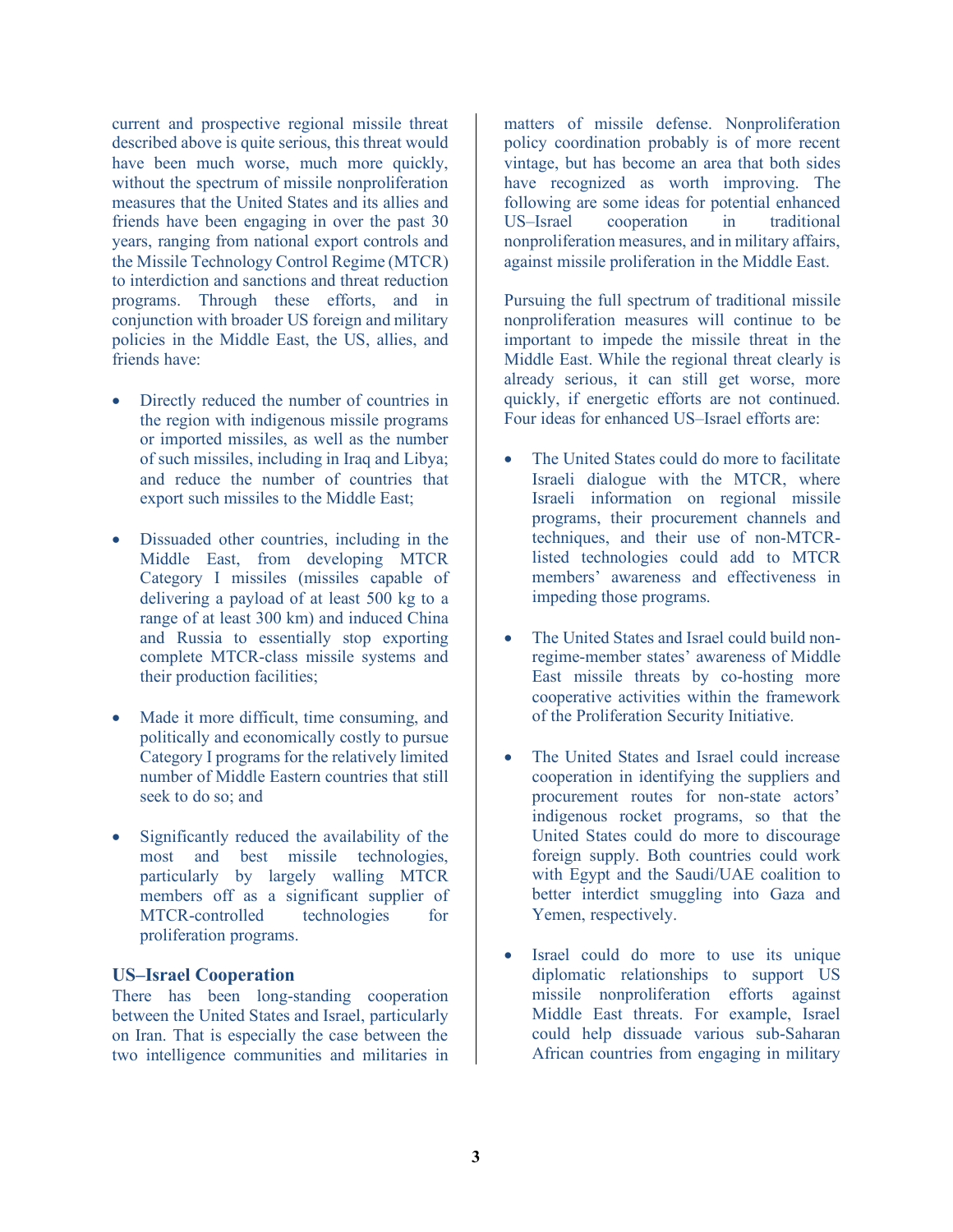current and prospective regional missile threat described above is quite serious, this threat would have been much worse, much more quickly, without the spectrum of missile nonproliferation measures that the United States and its allies and friends have been engaging in over the past 30 years, ranging from national export controls and the Missile Technology Control Regime (MTCR) to interdiction and sanctions and threat reduction programs. Through these efforts, and in conjunction with broader US foreign and military policies in the Middle East, the US, allies, and friends have:

- Directly reduced the number of countries in the region with indigenous missile programs or imported missiles, as well as the number of such missiles, including in Iraq and Libya; and reduce the number of countries that export such missiles to the Middle East;
- Dissuaded other countries, including in the Middle East, from developing MTCR Category I missiles (missiles capable of delivering a payload of at least 500 kg to a range of at least 300 km) and induced China and Russia to essentially stop exporting complete MTCR-class missile systems and their production facilities;
- Made it more difficult, time consuming, and politically and economically costly to pursue Category I programs for the relatively limited number of Middle Eastern countries that still seek to do so; and
- Significantly reduced the availability of the most and best missile technologies, particularly by largely walling MTCR members off as a significant supplier of MTCR-controlled technologies for proliferation programs.

#### **US–Israel Cooperation**

There has been long-standing cooperation between the United States and Israel, particularly on Iran. That is especially the case between the two intelligence communities and militaries in

matters of missile defense. Nonproliferation policy coordination probably is of more recent vintage, but has become an area that both sides have recognized as worth improving. The following are some ideas for potential enhanced US–Israel cooperation in traditional nonproliferation measures, and in military affairs, against missile proliferation in the Middle East.

Pursuing the full spectrum of traditional missile nonproliferation measures will continue to be important to impede the missile threat in the Middle East. While the regional threat clearly is already serious, it can still get worse, more quickly, if energetic efforts are not continued. Four ideas for enhanced US–Israel efforts are:

- The United States could do more to facilitate Israeli dialogue with the MTCR, where Israeli information on regional missile programs, their procurement channels and techniques, and their use of non-MTCRlisted technologies could add to MTCR members' awareness and effectiveness in impeding those programs.
- The United States and Israel could build nonregime-member states' awareness of Middle East missile threats by co-hosting more cooperative activities within the framework of the Proliferation Security Initiative.
- The United States and Israel could increase cooperation in identifying the suppliers and procurement routes for non-state actors' indigenous rocket programs, so that the United States could do more to discourage foreign supply. Both countries could work with Egypt and the Saudi/UAE coalition to better interdict smuggling into Gaza and Yemen, respectively.
- Israel could do more to use its unique diplomatic relationships to support US missile nonproliferation efforts against Middle East threats. For example, Israel could help dissuade various sub-Saharan African countries from engaging in military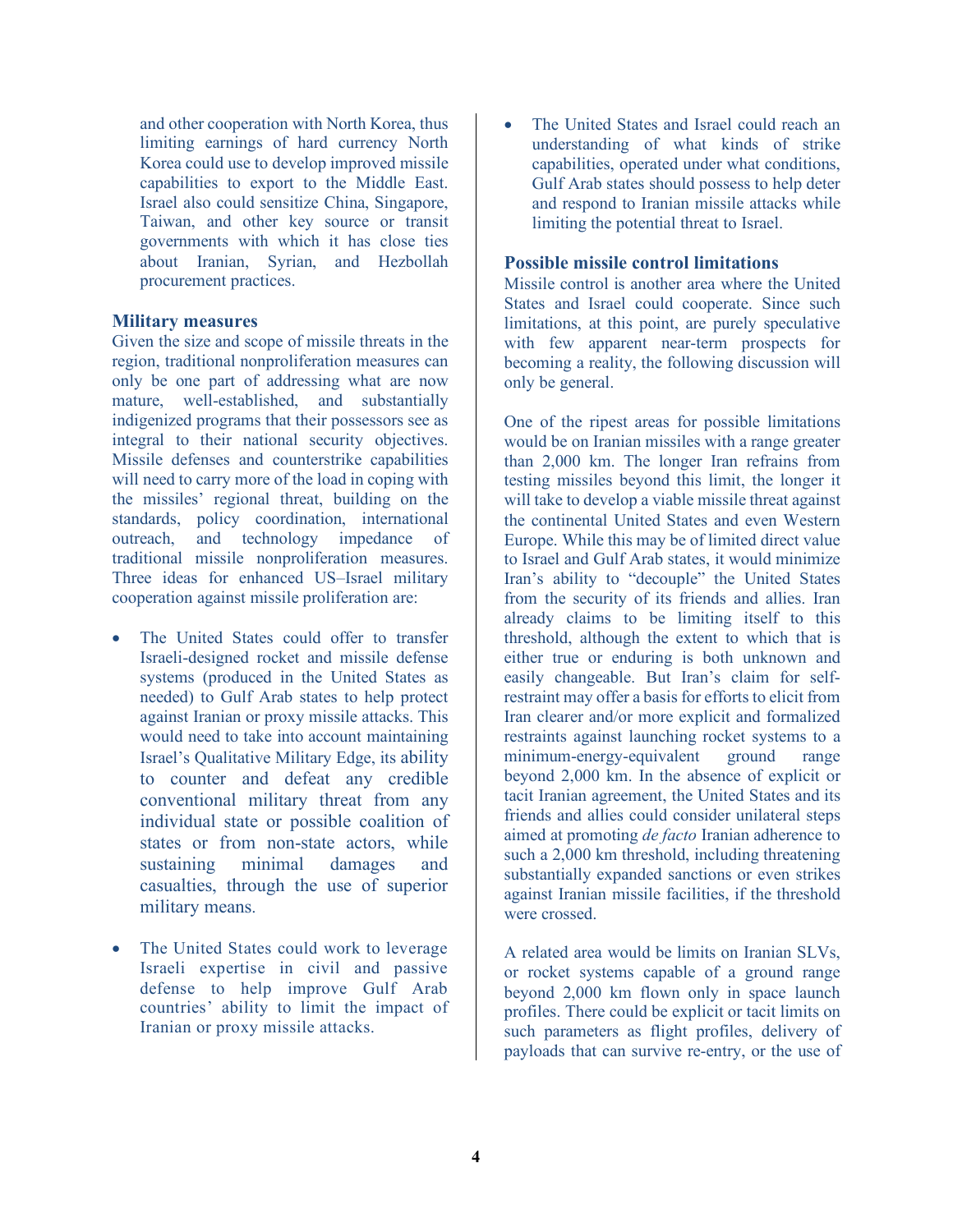and other cooperation with North Korea, thus limiting earnings of hard currency North Korea could use to develop improved missile capabilities to export to the Middle East. Israel also could sensitize China, Singapore, Taiwan, and other key source or transit governments with which it has close ties about Iranian, Syrian, and Hezbollah procurement practices.

# **Military measures**

Given the size and scope of missile threats in the region, traditional nonproliferation measures can only be one part of addressing what are now mature, well-established, and substantially indigenized programs that their possessors see as integral to their national security objectives. Missile defenses and counterstrike capabilities will need to carry more of the load in coping with the missiles' regional threat, building on the standards, policy coordination, international outreach, and technology impedance of traditional missile nonproliferation measures. Three ideas for enhanced US–Israel military cooperation against missile proliferation are:

- The United States could offer to transfer Israeli-designed rocket and missile defense systems (produced in the United States as needed) to Gulf Arab states to help protect against Iranian or proxy missile attacks. This would need to take into account maintaining Israel's Qualitative Military Edge, its ability to counter and defeat any credible conventional military threat from any individual state or possible coalition of states or from non-state actors, while sustaining minimal damages and casualties, through the use of superior military means.
- The United States could work to leverage Israeli expertise in civil and passive defense to help improve Gulf Arab countries' ability to limit the impact of Iranian or proxy missile attacks.

• The United States and Israel could reach an understanding of what kinds of strike capabilities, operated under what conditions, Gulf Arab states should possess to help deter and respond to Iranian missile attacks while limiting the potential threat to Israel.

# **Possible missile control limitations**

Missile control is another area where the United States and Israel could cooperate. Since such limitations, at this point, are purely speculative with few apparent near-term prospects for becoming a reality, the following discussion will only be general.

One of the ripest areas for possible limitations would be on Iranian missiles with a range greater than 2,000 km. The longer Iran refrains from testing missiles beyond this limit, the longer it will take to develop a viable missile threat against the continental United States and even Western Europe. While this may be of limited direct value to Israel and Gulf Arab states, it would minimize Iran's ability to "decouple" the United States from the security of its friends and allies. Iran already claims to be limiting itself to this threshold, although the extent to which that is either true or enduring is both unknown and easily changeable. But Iran's claim for selfrestraint may offer a basis for efforts to elicit from Iran clearer and/or more explicit and formalized restraints against launching rocket systems to a minimum-energy-equivalent ground range beyond 2,000 km. In the absence of explicit or tacit Iranian agreement, the United States and its friends and allies could consider unilateral steps aimed at promoting *de facto* Iranian adherence to such a 2,000 km threshold, including threatening substantially expanded sanctions or even strikes against Iranian missile facilities, if the threshold were crossed.

A related area would be limits on Iranian SLVs, or rocket systems capable of a ground range beyond 2,000 km flown only in space launch profiles. There could be explicit or tacit limits on such parameters as flight profiles, delivery of payloads that can survive re-entry, or the use of